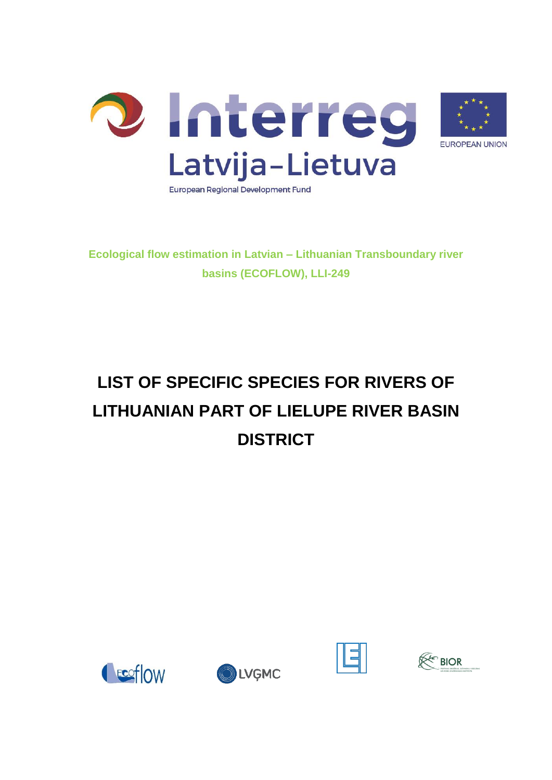

**Ecological flow estimation in Latvian – Lithuanian Transboundary river basins (ECOFLOW), LLI-249**

## **LIST OF SPECIFIC SPECIES FOR RIVERS OF LITHUANIAN PART OF LIELUPE RIVER BASIN DISTRICT**







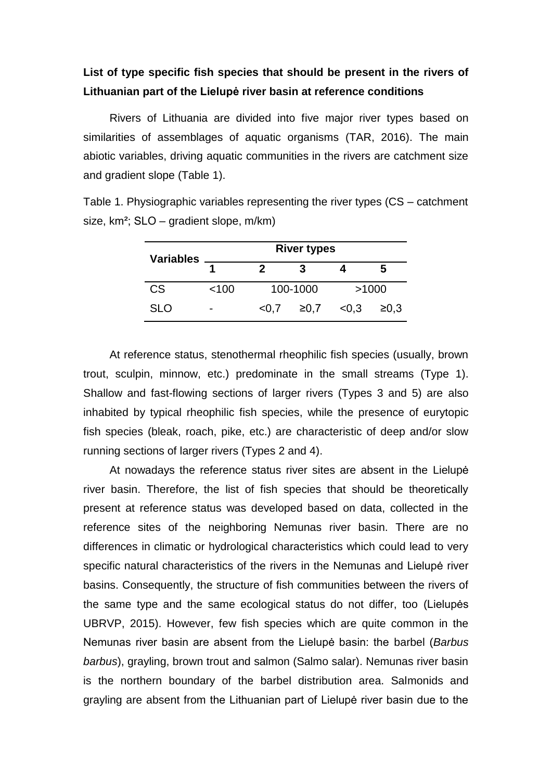## **List of type specific fish species that should be present in the rivers of Lithuanian part of the Lielupė river basin at reference conditions**

Rivers of Lithuania are divided into five major river types based on similarities of assemblages of aquatic organisms (TAR, 2016). The main abiotic variables, driving aquatic communities in the rivers are catchment size and gradient slope (Table 1).

Table 1. Physiographic variables representing the river types (CS – catchment size, km²; SLO – gradient slope, m/km)

| <b>Variables</b> | <b>River types</b> |       |          |       |      |  |  |  |
|------------------|--------------------|-------|----------|-------|------|--|--|--|
|                  |                    | 2     | 3        |       | 5    |  |  |  |
| <b>CS</b>        | < 100              |       | 100-1000 | >1000 |      |  |  |  |
| SLO              | $\blacksquare$     | < 0.7 | ≥0.7     | < 0.3 | ≥0.3 |  |  |  |

At reference status, stenothermal rheophilic fish species (usually, brown trout, sculpin, minnow, etc.) predominate in the small streams (Type 1). Shallow and fast-flowing sections of larger rivers (Types 3 and 5) are also inhabited by typical rheophilic fish species, while the presence of eurytopic fish species (bleak, roach, pike, etc.) are characteristic of deep and/or slow running sections of larger rivers (Types 2 and 4).

At nowadays the reference status river sites are absent in the Lielupė river basin. Therefore, the list of fish species that should be theoretically present at reference status was developed based on data, collected in the reference sites of the neighboring Nemunas river basin. There are no differences in climatic or hydrological characteristics which could lead to very specific natural characteristics of the rivers in the Nemunas and Lielupė river basins. Consequently, the structure of fish communities between the rivers of the same type and the same ecological status do not differ, too (Lielupės UBRVP, 2015). However, few fish species which are quite common in the Nemunas river basin are absent from the Lielupė basin: the barbel (*Barbus barbus*), grayling, brown trout and salmon (Salmo salar). Nemunas river basin is the northern boundary of the barbel distribution area. Salmonids and grayling are absent from the Lithuanian part of Lielupė river basin due to the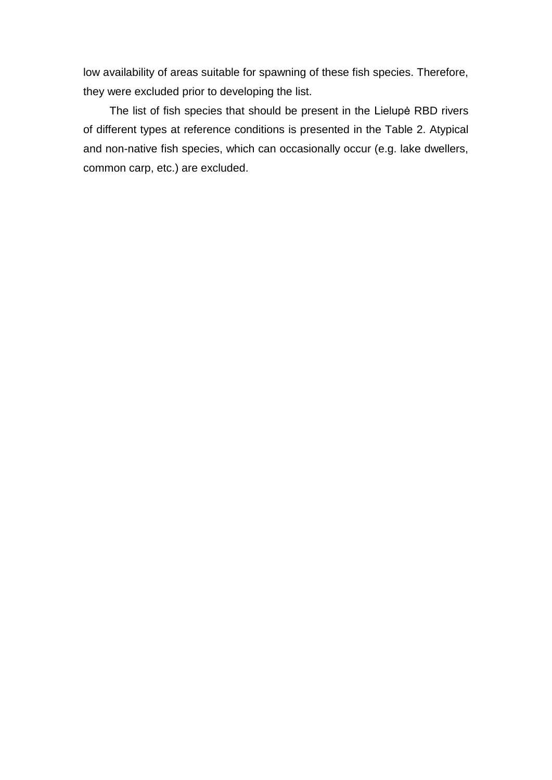low availability of areas suitable for spawning of these fish species. Therefore, they were excluded prior to developing the list.

The list of fish species that should be present in the Lielupė RBD rivers of different types at reference conditions is presented in the Table 2. Atypical and non-native fish species, which can occasionally occur (e.g. lake dwellers, common carp, etc.) are excluded.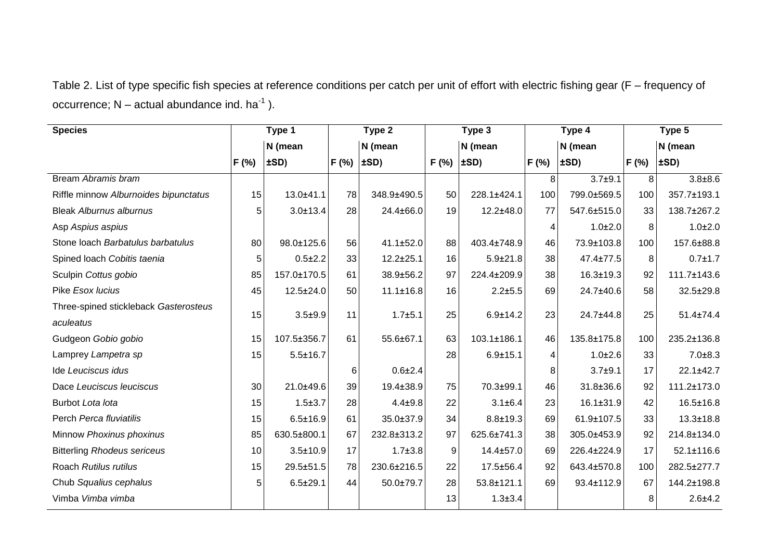Table 2. List of type specific fish species at reference conditions per catch per unit of effort with electric fishing gear (F – frequency of occurrence;  $N -$  actual abundance ind. ha<sup>-1</sup>).

| <b>Species</b>                        | Type 1 |                | Type 2 |                 | Type 3 |                | Type 4 |                 | Type 5 |                  |
|---------------------------------------|--------|----------------|--------|-----------------|--------|----------------|--------|-----------------|--------|------------------|
|                                       |        | N (mean        |        | N (mean         |        | N (mean        |        | N (mean         |        | N (mean          |
|                                       | F(% )  | ±SD)           | F(% )  | $\pm SD$        | F (%)  | $\pm SD$ )     | F(% )  | $\pm SD$        | F(% )  | ±SD)             |
| Bream Abramis bram                    |        |                |        |                 |        |                | 8      | $3.7 + 9.1$     | 8      | $3.8 + 8.6$      |
| Riffle minnow Alburnoides bipunctatus | 15     | 13.0±41.1      | 78     | 348.9±490.5     | 50     | 228.1±424.1    | 100    | 799.0±569.5     | 100    | 357.7±193.1      |
| <b>Bleak Alburnus alburnus</b>        | 5      | $3.0 + 13.4$   | 28     | 24.4±66.0       | 19     | $12.2 + 48.0$  | 77     | 547.6±515.0     | 33     | 138.7±267.2      |
| Asp Aspius aspius                     |        |                |        |                 |        |                | 4      | $1.0 + 2.0$     | 8      | $1.0 + 2.0$      |
| Stone loach Barbatulus barbatulus     | 80     | 98.0±125.6     | 56     | 41.1±52.0       | 88     | 403.4±748.9    | 46     | 73.9±103.8      | 100    | 157.6±88.8       |
| Spined loach Cobitis taenia           | 5      | $0.5 + 2.2$    | 33     | $12.2 \pm 25.1$ | 16     | $5.9 \pm 21.8$ | 38     | 47.4±77.5       | 8      | $0.7 + 1.7$      |
| Sculpin Cottus gobio                  | 85     | 157.0±170.5    | 61     | 38.9±56.2       | 97     | 224.4±209.9    | 38     | $16.3 \pm 19.3$ | 92     | 111.7±143.6      |
| Pike Esox lucius                      | 45     | 12.5±24.0      | 50     | $11.1 \pm 16.8$ | 16     | $2.2 + 5.5$    | 69     | 24.7±40.6       | 58     | 32.5±29.8        |
| Three-spined stickleback Gasterosteus | 15     | $3.5 + 9.9$    | 11     | $1.7 + 5.1$     | 25     | $6.9 \pm 14.2$ | 23     | 24.7±44.8       | 25     | $51.4 \pm 74.4$  |
| aculeatus                             |        |                |        |                 |        |                |        |                 |        |                  |
| Gudgeon Gobio gobio                   | 15     | 107.5±356.7    | 61     | 55.6±67.1       | 63     | 103.1±186.1    | 46     | 135.8±175.8     | 100    | 235.2±136.8      |
| Lamprey Lampetra sp                   | 15     | $5.5 \pm 16.7$ |        |                 | 28     | $6.9 + 15.1$   | 4      | $1.0 + 2.6$     | 33     | $7.0 + 8.3$      |
| Ide Leuciscus idus                    |        |                | 6      | $0.6 + 2.4$     |        |                | 8      | $3.7 + 9.1$     | 17     | 22.1±42.7        |
| Dace Leuciscus leuciscus              | 30     | 21.0±49.6      | 39     | 19.4±38.9       | 75     | 70.3±99.1      | 46     | 31.8±36.6       | 92     | 111.2±173.0      |
| Burbot Lota lota                      | 15     | $1.5 + 3.7$    | 28     | $4.4 + 9.8$     | 22     | $3.1 \pm 6.4$  | 23     | $16.1 \pm 31.9$ | 42     | $16.5 \pm 16.8$  |
| Perch Perca fluviatilis               | 15     | $6.5 \pm 16.9$ | 61     | 35.0±37.9       | 34     | $8.8 + 19.3$   | 69     | 61.9±107.5      | 33     | $13.3 \pm 18.8$  |
| Minnow Phoxinus phoxinus              | 85     | 630.5±800.1    | 67     | 232.8±313.2     | 97     | 625.6±741.3    | 38     | 305.0±453.9     | 92     | 214.8±134.0      |
| <b>Bitterling Rhodeus sericeus</b>    | 10     | $3.5 \pm 10.9$ | 17     | $1.7 + 3.8$     | 9      | 14.4±57.0      | 69     | 226.4±224.9     | 17     | $52.1 \pm 116.6$ |
| Roach Rutilus rutilus                 | 15     | 29.5±51.5      | 78     | 230.6±216.5     | 22     | 17.5±56.4      | 92     | 643.4±570.8     | 100    | 282.5±277.7      |
| Chub Squalius cephalus                | 5      | $6.5 \pm 29.1$ | 44     | 50.0±79.7       | 28     | 53.8±121.1     | 69     | 93.4±112.9      | 67     | 144.2±198.8      |
| Vimba Vimba vimba                     |        |                |        |                 | 13     | $1.3 \pm 3.4$  |        |                 | 8      | $2.6 + 4.2$      |